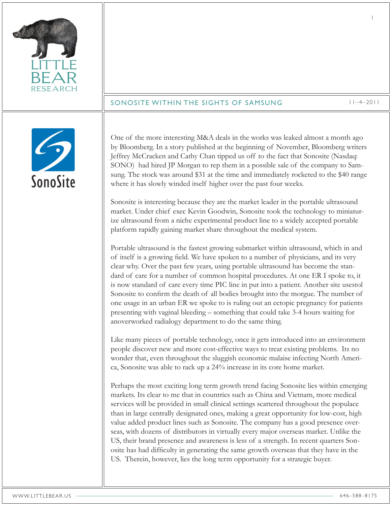| <b>RESEARCH</b> | SONOSITE WITHIN THE SIGHTS OF SAMSUNG                                                                                                                                                                                                                                                                                                                                                                                                                                                                                                                                                                                                                                                                                                                                                                                                                                                                                                                                                                                                                                                                                                                                                                                                                                                                                                                                                                                                                                                                                                                                                                                                                                                                                                                                                                                                                                                                                                                                                                                                                                                                                                                                                                                                                                                                                                                                                                                                                                                                                                              | $11 - 4 - 2011$ |
|-----------------|----------------------------------------------------------------------------------------------------------------------------------------------------------------------------------------------------------------------------------------------------------------------------------------------------------------------------------------------------------------------------------------------------------------------------------------------------------------------------------------------------------------------------------------------------------------------------------------------------------------------------------------------------------------------------------------------------------------------------------------------------------------------------------------------------------------------------------------------------------------------------------------------------------------------------------------------------------------------------------------------------------------------------------------------------------------------------------------------------------------------------------------------------------------------------------------------------------------------------------------------------------------------------------------------------------------------------------------------------------------------------------------------------------------------------------------------------------------------------------------------------------------------------------------------------------------------------------------------------------------------------------------------------------------------------------------------------------------------------------------------------------------------------------------------------------------------------------------------------------------------------------------------------------------------------------------------------------------------------------------------------------------------------------------------------------------------------------------------------------------------------------------------------------------------------------------------------------------------------------------------------------------------------------------------------------------------------------------------------------------------------------------------------------------------------------------------------------------------------------------------------------------------------------------------------|-----------------|
|                 |                                                                                                                                                                                                                                                                                                                                                                                                                                                                                                                                                                                                                                                                                                                                                                                                                                                                                                                                                                                                                                                                                                                                                                                                                                                                                                                                                                                                                                                                                                                                                                                                                                                                                                                                                                                                                                                                                                                                                                                                                                                                                                                                                                                                                                                                                                                                                                                                                                                                                                                                                    |                 |
| SonoSite        | One of the more interesting M&A deals in the works was leaked almost a month ago<br>by Bloomberg. In a story published at the beginning of November, Bloomberg writers<br>Jeffrey McCracken and Cathy Chan tipped us off to the fact that Sonosite (Nasdaq:<br>SONO) had hired JP Morgan to rep them in a possible sale of the company to Sam-<br>sung. The stock was around \$31 at the time and immediately rocketed to the \$40 range<br>where it has slowly winded itself higher over the past four weeks.<br>Sonosite is interesting because they are the market leader in the portable ultrasound<br>market. Under chief exec Kevin Goodwin, Sonosite took the technology to miniatur-<br>ize ultrasound from a niche experimental product line to a widely accepted portable<br>platform rapidly gaining market share throughout the medical system.<br>Portable ultrasound is the fastest growing submarket within ultrasound, which in and<br>of itself is a growing field. We have spoken to a number of physicians, and its very<br>clear why. Over the past few years, using portable ultrasound has become the stan-<br>dard of care for a number of common hospital procedures. At one ER I spoke to, it<br>is now standard of care every time PIC line in put into a patient. Another site usestol<br>Sonosite to confirm the death of all bodies brought into the morgue. The number of<br>one usage in an urban ER we spoke to is ruling out an ectopic pregnancy for patients<br>presenting with vaginal bleeding - something that could take 3-4 hours waiting for<br>anoverworked radialogy department to do the same thing.<br>Like many pieces of portable technology, once it gets introduced into an environment<br>people discover new and more cost-effective ways to treat existing problems. Its no<br>wonder that, even throughout the sluggish economic malaise infecting North Ameri-<br>ca, Sonosite was able to rack up a 24% increase in its core home market.<br>Perhaps the most exciting long term growth trend facing Sonosite lies within emerging<br>markets. Its clear to me that in countries such as China and Vietnam, more medical<br>services will be provided in small clinical settings scattered throughout the populace<br>than in large centrally designated ones, making a great opportunity for low-cost, high<br>value added product lines such as Sonosite. The company has a good presence over-<br>seas, with dozens of distributors in virtually every major overseas market. Unlike the |                 |
|                 | US, their brand presence and awareness is less of a strength. In recent quarters Son-<br>osite has had difficulty in generating the same growth overseas that they have in the<br>US. Therein, however, lies the long term opportunity for a strategic buyer.                                                                                                                                                                                                                                                                                                                                                                                                                                                                                                                                                                                                                                                                                                                                                                                                                                                                                                                                                                                                                                                                                                                                                                                                                                                                                                                                                                                                                                                                                                                                                                                                                                                                                                                                                                                                                                                                                                                                                                                                                                                                                                                                                                                                                                                                                      |                 |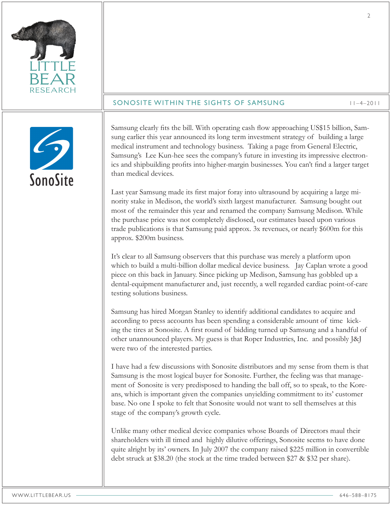| <b>RESEARCH</b><br>SONOSITE WITHIN THE SIGHTS OF SAMSUNG<br>$11 - 4 - 2011$                                                                                                                                                                                                                                                                                                                                                                                                                                                                                                                                                                                                                                                                                                                                                                                                                                                                                                                                                                                                                                                                                                                                                                                                                                                                                                                                                                                                                                                                                                                                                                                                                                                                                                                                                                                                                                                                                                                                                                                                                                                                                                                                                                                                                                                                                                                                                                                                                                                                                                                                                                            |  |
|--------------------------------------------------------------------------------------------------------------------------------------------------------------------------------------------------------------------------------------------------------------------------------------------------------------------------------------------------------------------------------------------------------------------------------------------------------------------------------------------------------------------------------------------------------------------------------------------------------------------------------------------------------------------------------------------------------------------------------------------------------------------------------------------------------------------------------------------------------------------------------------------------------------------------------------------------------------------------------------------------------------------------------------------------------------------------------------------------------------------------------------------------------------------------------------------------------------------------------------------------------------------------------------------------------------------------------------------------------------------------------------------------------------------------------------------------------------------------------------------------------------------------------------------------------------------------------------------------------------------------------------------------------------------------------------------------------------------------------------------------------------------------------------------------------------------------------------------------------------------------------------------------------------------------------------------------------------------------------------------------------------------------------------------------------------------------------------------------------------------------------------------------------------------------------------------------------------------------------------------------------------------------------------------------------------------------------------------------------------------------------------------------------------------------------------------------------------------------------------------------------------------------------------------------------------------------------------------------------------------------------------------------------|--|
| Samsung clearly fits the bill. With operating cash flow approaching US\$15 billion, Sam-<br>sung earlier this year announced its long term investment strategy of building a large<br>medical instrument and technology business. Taking a page from General Electric,<br>Samsung's Lee Kun-hee sees the company's future in investing its impressive electron-<br>ics and shipbuilding profits into higher-margin businesses. You can't find a larger target<br>than medical devices.<br>SonoSite<br>Last year Samsung made its first major foray into ultrasound by acquiring a large mi-<br>nority stake in Medison, the world's sixth largest manufacturer. Samsung bought out<br>most of the remainder this year and renamed the company Samsung Medison. While<br>the purchase price was not completely disclosed, our estimates based upon various<br>trade publications is that Samsung paid approx. 3x revenues, or nearly \$600m for this<br>approx. \$200m business.<br>It's clear to all Samsung observers that this purchase was merely a platform upon<br>which to build a multi-billion dollar medical device business. Jay Caplan wrote a good<br>piece on this back in January. Since picking up Medison, Samsung has gobbled up a<br>dental-equipment manufacturer and, just recently, a well regarded cardiac point-of-care<br>testing solutions business.<br>Samsung has hired Morgan Stanley to identify additional candidates to acquire and<br>according to press accounts has been spending a considerable amount of time kick-<br>ing the tires at Sonosite. A first round of bidding turned up Samsung and a handful of<br>other unannounced players. My guess is that Roper Industries, Inc. and possibly J&J<br>were two of the interested parties.<br>I have had a few discussions with Sonosite distributors and my sense from them is that<br>Samsung is the most logical buyer for Sonosite. Further, the feeling was that manage-<br>ment of Sonosite is very predisposed to handing the ball off, so to speak, to the Kore-<br>ans, which is important given the companies unyielding commitment to its' customer<br>base. No one I spoke to felt that Sonosite would not want to sell themselves at this<br>stage of the company's growth cycle.<br>Unlike many other medical device companies whose Boards of Directors maul their<br>shareholders with ill timed and highly dilutive offerings, Sonosite seems to have done<br>quite alright by its' owners. In July 2007 the company raised \$225 million in convertible<br>debt struck at \$38.20 (the stock at the time traded between \$27 & \$32 per share). |  |